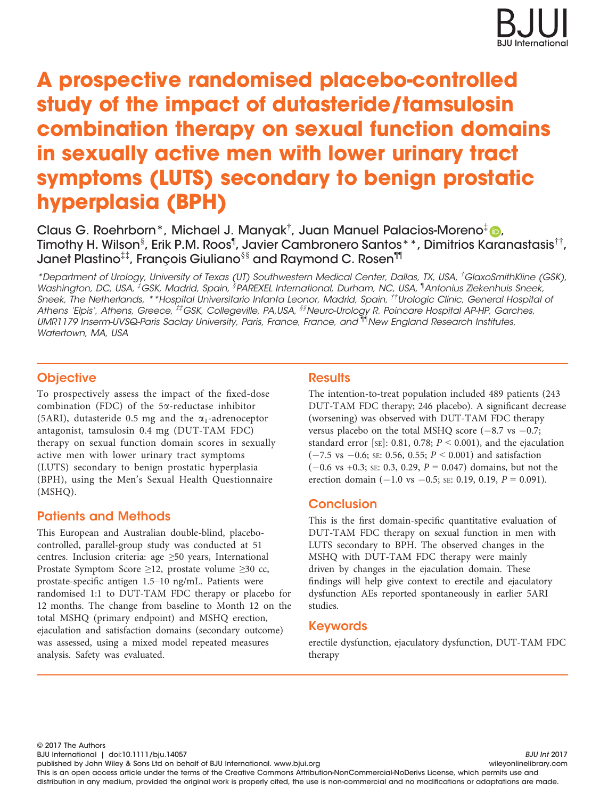

# A prospective randomised placebo-controlled study of the impact of dutasteride/tamsulosin combination therapy on sexual function domains in sexually active men with lower urinary tract symptoms (LUTS) secondary to benign prostatic hyperplasia (BPH)

Claus G. Roehrborn\*, Michael J. Manyak<sup>†</sup>, Juan Manuel Palacios-Moreno<sup>[‡](http://orcid.org/0000-0001-9946-4005)</sup> D, Timothy H. Wilson $^\S$ , Erik P.M. Roos<sup>¶</sup>, Javier Cambronero Santos\*\*, Dimitrios Karanastasis<sup>††</sup>, Janet Plastino‡‡, Francois Giuliano§§ and Raymond C. Rosen¶¶

\*Department of Urology, University of Texas (UT) Southwestern Medical Center, Dallas, TX, USA, † GlaxoSmithKline (GSK), Washington, DC, USA, <sup>‡</sup>GSK, Madrid, Spain, <sup>§</sup>PAREXEL International, Durham, NC, USA, <sup>¶</sup>Antonius Ziekenhuis Sneek, Sneek, The Netherlands, \*\*Hospital Universitario Infanta Leonor, Madrid, Spain, ††Urologic Clinic, General Hospital of Athens 'Elpis', Athens, Greece, #EGSK, Collegeville, PA,USA, <sup>§§</sup>Neuro-Urology R. Poincare Hospital AP-HP, Garches, UMR1179 Inserm-UVSQ-Paris Saclay University, Paris, France, France, and ¶¶New England Research Institutes, Watertown, MA, USA

## **Objective**

To prospectively assess the impact of the fixed-dose combination (FDC) of the 5a-reductase inhibitor (5ARI), dutasteride 0.5 mg and the  $\alpha_1$ -adrenoceptor antagonist, tamsulosin 0.4 mg (DUT-TAM FDC) therapy on sexual function domain scores in sexually active men with lower urinary tract symptoms (LUTS) secondary to benign prostatic hyperplasia (BPH), using the Men's Sexual Health Questionnaire (MSHQ).

# Patients and Methods

This European and Australian double-blind, placebocontrolled, parallel-group study was conducted at 51 centres. Inclusion criteria: age ≥50 years, International Prostate Symptom Score ≥12, prostate volume ≥30 cc, prostate-specific antigen 1.5–10 ng/mL. Patients were randomised 1:1 to DUT-TAM FDC therapy or placebo for 12 months. The change from baseline to Month 12 on the total MSHQ (primary endpoint) and MSHQ erection, ejaculation and satisfaction domains (secondary outcome) was assessed, using a mixed model repeated measures analysis. Safety was evaluated.

# **Results**

The intention-to-treat population included 489 patients (243 DUT-TAM FDC therapy; 246 placebo). A significant decrease (worsening) was observed with DUT-TAM FDC therapy versus placebo on the total MSHQ score  $(-8.7 \text{ vs } -0.7;$ standard error [SE]: 0.81, 0.78;  $P \le 0.001$ ), and the ejaculation  $(-7.5 \text{ vs } -0.6; \text{ se: } 0.56, 0.55; P \le 0.001)$  and satisfaction  $(-0.6 \text{ vs } +0.3; \text{ se: } 0.3, 0.29, P = 0.047)$  domains, but not the erection domain  $(-1.0 \text{ vs } -0.5; \text{ se: } 0.19, 0.19, P = 0.091)$ .

# Conclusion

This is the first domain-specific quantitative evaluation of DUT-TAM FDC therapy on sexual function in men with LUTS secondary to BPH. The observed changes in the MSHQ with DUT-TAM FDC therapy were mainly driven by changes in the ejaculation domain. These findings will help give context to erectile and ejaculatory dysfunction AEs reported spontaneously in earlier 5ARI studies.

## Keywords

erectile dysfunction, ejaculatory dysfunction, DUT-TAM FDC therapy

© 2017 The Authors

BJU International | doi:10.1111/bju.14057 BJU Int 2017

published by John Wiley & Sons Ltd on behalf of BJU International. www.bjui.org willey and the wileyonlinelibrary.com This is an open access article under the terms of the [Creative Commons Attribution-NonCommercial-NoDerivs](http://creativecommons.org/licenses/by-nc-nd/4.0/) License, which permits use and distribution in any medium, provided the original work is properly cited, the use is non-commercial and no modifications or adaptations are made.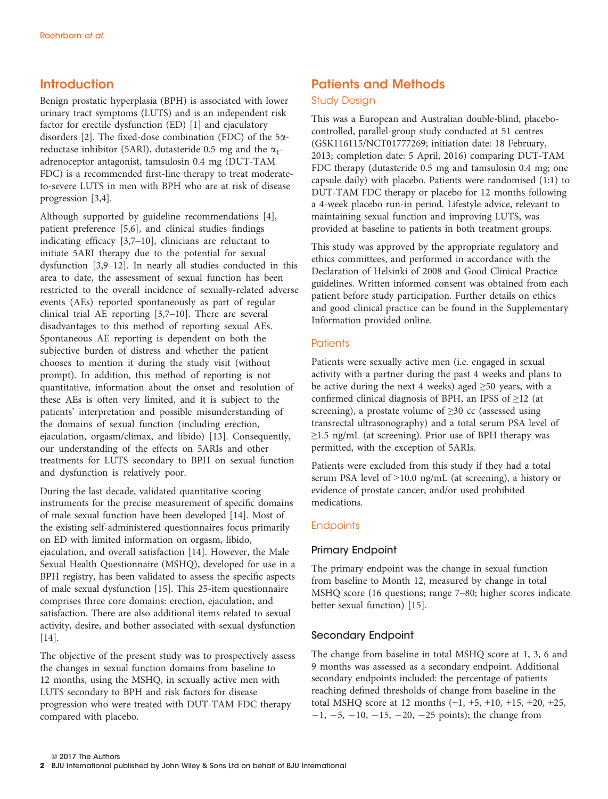# **Introduction**

Benign prostatic hyperplasia (BPH) is associated with lower urinary tract symptoms (LUTS) and is an independent risk factor for erectile dysfunction (ED) [1] and ejaculatory disorders [2]. The fixed-dose combination (FDC) of the  $5\alpha$ reductase inhibitor (5ARI), dutasteride 0.5 mg and the  $\alpha_1$ adrenoceptor antagonist, tamsulosin 0.4 mg (DUT-TAM FDC) is a recommended first-line therapy to treat moderateto-severe LUTS in men with BPH who are at risk of disease progression [3,4].

Although supported by guideline recommendations [4], patient preference [5,6], and clinical studies findings indicating efficacy [3,7–10], clinicians are reluctant to initiate 5ARI therapy due to the potential for sexual dysfunction [3,9–12]. In nearly all studies conducted in this area to date, the assessment of sexual function has been restricted to the overall incidence of sexually-related adverse events (AEs) reported spontaneously as part of regular clinical trial AE reporting [3,7–10]. There are several disadvantages to this method of reporting sexual AEs. Spontaneous AE reporting is dependent on both the subjective burden of distress and whether the patient chooses to mention it during the study visit (without prompt). In addition, this method of reporting is not quantitative, information about the onset and resolution of these AEs is often very limited, and it is subject to the patients' interpretation and possible misunderstanding of the domains of sexual function (including erection, ejaculation, orgasm/climax, and libido) [13]. Consequently, our understanding of the effects on 5ARIs and other treatments for LUTS secondary to BPH on sexual function and dysfunction is relatively poor.

During the last decade, validated quantitative scoring instruments for the precise measurement of specific domains of male sexual function have been developed [14]. Most of the existing self-administered questionnaires focus primarily on ED with limited information on orgasm, libido, ejaculation, and overall satisfaction [14]. However, the Male Sexual Health Questionnaire (MSHQ), developed for use in a BPH registry, has been validated to assess the specific aspects of male sexual dysfunction [15]. This 25-item questionnaire comprises three core domains: erection, ejaculation, and satisfaction. There are also additional items related to sexual activity, desire, and bother associated with sexual dysfunction [14].

The objective of the present study was to prospectively assess the changes in sexual function domains from baseline to 12 months, using the MSHQ, in sexually active men with LUTS secondary to BPH and risk factors for disease progression who were treated with DUT-TAM FDC therapy compared with placebo.

# Patients and Methods

#### Study Design

This was a European and Australian double-blind, placebocontrolled, parallel-group study conducted at 51 centres (GSK116115/NCT01777269; initiation date: 18 February, 2013; completion date: 5 April, 2016) comparing DUT-TAM FDC therapy (dutasteride 0.5 mg and tamsulosin 0.4 mg; one capsule daily) with placebo. Patients were randomised (1:1) to DUT-TAM FDC therapy or placebo for 12 months following a 4-week placebo run-in period. Lifestyle advice, relevant to maintaining sexual function and improving LUTS, was provided at baseline to patients in both treatment groups.

This study was approved by the appropriate regulatory and ethics committees, and performed in accordance with the Declaration of Helsinki of 2008 and Good Clinical Practice guidelines. Written informed consent was obtained from each patient before study participation. Further details on ethics and good clinical practice can be found in the Supplementary Information provided online.

#### **Patients**

Patients were sexually active men (i.e. engaged in sexual activity with a partner during the past 4 weeks and plans to be active during the next 4 weeks) aged  $\geq 50$  years, with a confirmed clinical diagnosis of BPH, an IPSS of ≥12 (at screening), a prostate volume of  $\geq$ 30 cc (assessed using transrectal ultrasonography) and a total serum PSA level of  $\geq$ 1.5 ng/mL (at screening). Prior use of BPH therapy was permitted, with the exception of 5ARIs.

Patients were excluded from this study if they had a total serum PSA level of >10.0 ng/mL (at screening), a history or evidence of prostate cancer, and/or used prohibited medications.

#### **Endpoints**

#### Primary Endpoint

The primary endpoint was the change in sexual function from baseline to Month 12, measured by change in total MSHQ score (16 questions; range 7–80; higher scores indicate better sexual function) [15].

#### Secondary Endpoint

The change from baseline in total MSHQ score at 1, 3, 6 and 9 months was assessed as a secondary endpoint. Additional secondary endpoints included: the percentage of patients reaching defined thresholds of change from baseline in the total MSHQ score at 12 months (+1, +5, +10, +15, +20, +25,  $-1, -5, -10, -15, -20, -25$  points); the change from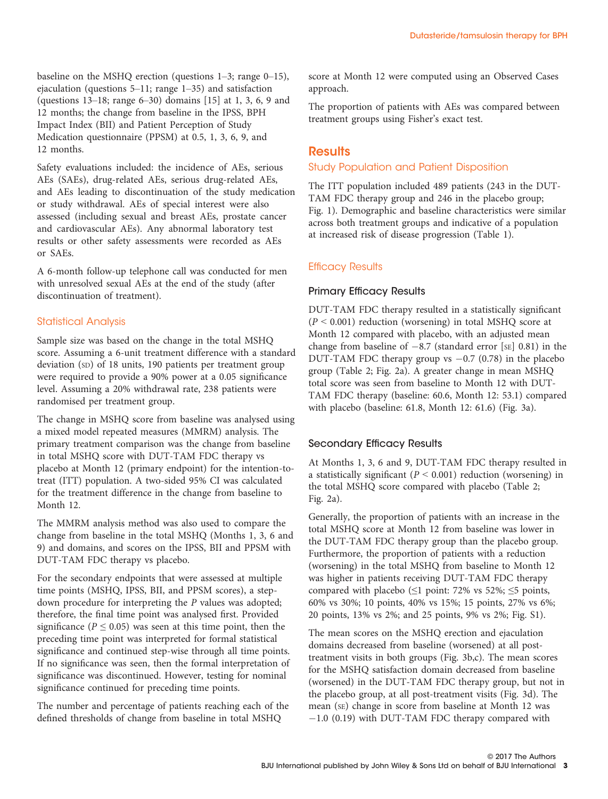baseline on the MSHQ erection (questions 1–3; range 0–15), ejaculation (questions 5–11; range 1–35) and satisfaction (questions 13–18; range 6–30) domains [15] at 1, 3, 6, 9 and 12 months; the change from baseline in the IPSS, BPH Impact Index (BII) and Patient Perception of Study Medication questionnaire (PPSM) at 0.5, 1, 3, 6, 9, and 12 months.

Safety evaluations included: the incidence of AEs, serious AEs (SAEs), drug-related AEs, serious drug-related AEs, and AEs leading to discontinuation of the study medication or study withdrawal. AEs of special interest were also assessed (including sexual and breast AEs, prostate cancer and cardiovascular AEs). Any abnormal laboratory test results or other safety assessments were recorded as AEs or SAEs.

A 6-month follow-up telephone call was conducted for men with unresolved sexual AEs at the end of the study (after discontinuation of treatment).

#### Statistical Analysis

Sample size was based on the change in the total MSHQ score. Assuming a 6-unit treatment difference with a standard deviation (SD) of 18 units, 190 patients per treatment group were required to provide a 90% power at a 0.05 significance level. Assuming a 20% withdrawal rate, 238 patients were randomised per treatment group.

The change in MSHQ score from baseline was analysed using a mixed model repeated measures (MMRM) analysis. The primary treatment comparison was the change from baseline in total MSHQ score with DUT-TAM FDC therapy vs placebo at Month 12 (primary endpoint) for the intention-totreat (ITT) population. A two-sided 95% CI was calculated for the treatment difference in the change from baseline to Month 12.

The MMRM analysis method was also used to compare the change from baseline in the total MSHQ (Months 1, 3, 6 and 9) and domains, and scores on the IPSS, BII and PPSM with DUT-TAM FDC therapy vs placebo.

For the secondary endpoints that were assessed at multiple time points (MSHQ, IPSS, BII, and PPSM scores), a stepdown procedure for interpreting the P values was adopted; therefore, the final time point was analysed first. Provided significance ( $P \le 0.05$ ) was seen at this time point, then the preceding time point was interpreted for formal statistical significance and continued step-wise through all time points. If no significance was seen, then the formal interpretation of significance was discontinued. However, testing for nominal significance continued for preceding time points.

The number and percentage of patients reaching each of the defined thresholds of change from baseline in total MSHQ

score at Month 12 were computed using an Observed Cases approach.

The proportion of patients with AEs was compared between treatment groups using Fisher's exact test.

#### **Results**

#### Study Population and Patient Disposition

The ITT population included 489 patients (243 in the DUT-TAM FDC therapy group and 246 in the placebo group; Fig. 1). Demographic and baseline characteristics were similar across both treatment groups and indicative of a population at increased risk of disease progression (Table 1).

#### Efficacy Results

#### Primary Efficacy Results

DUT-TAM FDC therapy resulted in a statistically significant  $(P < 0.001)$  reduction (worsening) in total MSHQ score at Month 12 compared with placebo, with an adjusted mean change from baseline of  $-8.7$  (standard error [SE] 0.81) in the DUT-TAM FDC therapy group vs  $-0.7$  (0.78) in the placebo group (Table 2; Fig. 2a). A greater change in mean MSHQ total score was seen from baseline to Month 12 with DUT-TAM FDC therapy (baseline: 60.6, Month 12: 53.1) compared with placebo (baseline: 61.8, Month 12: 61.6) (Fig. 3a).

#### Secondary Efficacy Results

At Months 1, 3, 6 and 9, DUT-TAM FDC therapy resulted in a statistically significant ( $P < 0.001$ ) reduction (worsening) in the total MSHQ score compared with placebo (Table 2; Fig. 2a).

Generally, the proportion of patients with an increase in the total MSHQ score at Month 12 from baseline was lower in the DUT-TAM FDC therapy group than the placebo group. Furthermore, the proportion of patients with a reduction (worsening) in the total MSHQ from baseline to Month 12 was higher in patients receiving DUT-TAM FDC therapy compared with placebo ( $\leq$ 1 point: 72% vs 52%;  $\leq$ 5 points, 60% vs 30%; 10 points, 40% vs 15%; 15 points, 27% vs 6%; 20 points, 13% vs 2%; and 25 points, 9% vs 2%; Fig. S1).

The mean scores on the MSHQ erection and ejaculation domains decreased from baseline (worsened) at all posttreatment visits in both groups (Fig. 3b,c). The mean scores for the MSHQ satisfaction domain decreased from baseline (worsened) in the DUT-TAM FDC therapy group, but not in the placebo group, at all post-treatment visits (Fig. 3d). The mean (SE) change in score from baseline at Month 12 was  $-1.0$  (0.19) with DUT-TAM FDC therapy compared with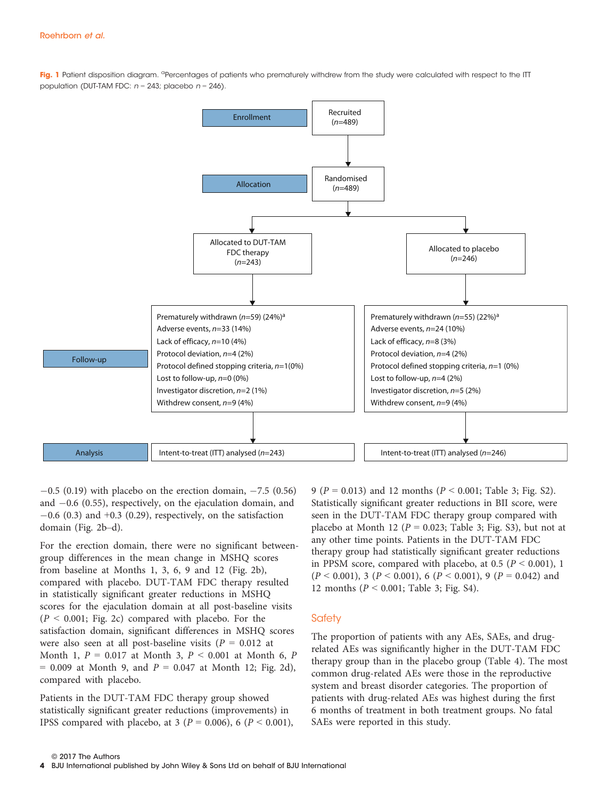Fig. 1 Patient disposition diagram. <sup>a</sup>Percentages of patients who prematurely withdrew from the study were calculated with respect to the ITT population (DUT-TAM FDC:  $n = 243$ ; placebo  $n = 246$ ).



 $-0.5$  (0.19) with placebo on the erection domain,  $-7.5$  (0.56) and  $-0.6$  (0.55), respectively, on the ejaculation domain, and  $-0.6$  (0.3) and  $+0.3$  (0.29), respectively, on the satisfaction domain (Fig. 2b–d).

For the erection domain, there were no significant betweengroup differences in the mean change in MSHQ scores from baseline at Months 1, 3, 6, 9 and 12 (Fig. 2b), compared with placebo. DUT-TAM FDC therapy resulted in statistically significant greater reductions in MSHQ scores for the ejaculation domain at all post-baseline visits  $(P < 0.001$ ; Fig. 2c) compared with placebo. For the satisfaction domain, significant differences in MSHQ scores were also seen at all post-baseline visits ( $P = 0.012$  at Month 1,  $P = 0.017$  at Month 3,  $P < 0.001$  at Month 6,  $P$  $= 0.009$  at Month 9, and  $P = 0.047$  at Month 12; Fig. 2d), compared with placebo.

Patients in the DUT-TAM FDC therapy group showed statistically significant greater reductions (improvements) in IPSS compared with placebo, at 3 ( $P = 0.006$ ), 6 ( $P < 0.001$ ), 9 ( $P = 0.013$ ) and 12 months ( $P < 0.001$ ; Table 3; Fig. S2). Statistically significant greater reductions in BII score, were seen in the DUT-TAM FDC therapy group compared with placebo at Month 12 ( $P = 0.023$ ; Table 3; Fig. S3), but not at any other time points. Patients in the DUT-TAM FDC therapy group had statistically significant greater reductions in PPSM score, compared with placebo, at 0.5 ( $P < 0.001$ ), 1  $(P < 0.001)$ , 3  $(P < 0.001)$ , 6  $(P < 0.001)$ , 9  $(P = 0.042)$  and 12 months (P < 0.001; Table 3; Fig. S4).

#### **Safety**

The proportion of patients with any AEs, SAEs, and drugrelated AEs was significantly higher in the DUT-TAM FDC therapy group than in the placebo group (Table 4). The most common drug-related AEs were those in the reproductive system and breast disorder categories. The proportion of patients with drug-related AEs was highest during the first 6 months of treatment in both treatment groups. No fatal SAEs were reported in this study.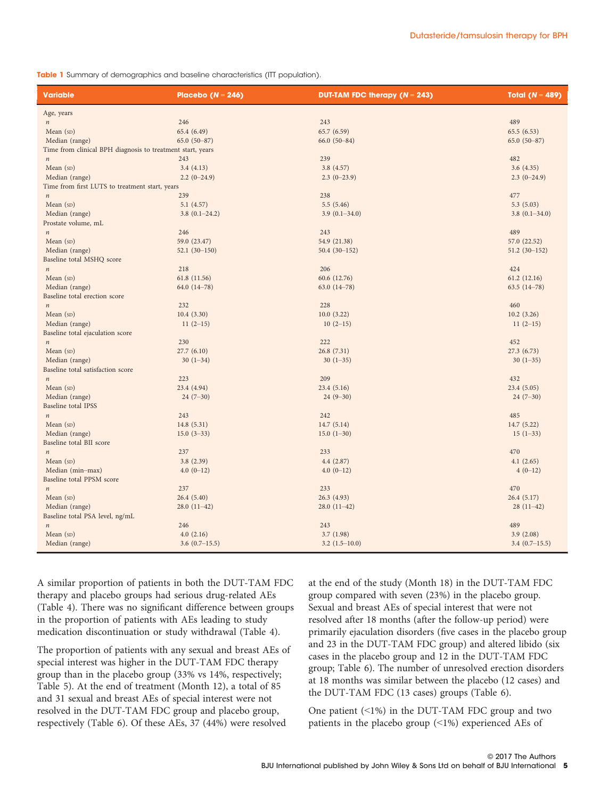Table 1 Summary of demographics and baseline characteristics (ITT population).

| <b>Variable</b>                                            | Placebo ( $N = 246$ ) | <b>DUT-TAM FDC therapy (<math>N = 243</math>)</b> | Total $(N = 489)$ |
|------------------------------------------------------------|-----------------------|---------------------------------------------------|-------------------|
| Age, years                                                 |                       |                                                   |                   |
| $\boldsymbol{n}$                                           | 246                   | 243                                               | 489               |
| Mean $(sD)$                                                | 65.4 (6.49)           | 65.7 (6.59)                                       | 65.5(6.53)        |
| Median (range)                                             | $65.0(50-87)$         | $66.0(50-84)$                                     | $65.0(50-87)$     |
| Time from clinical BPH diagnosis to treatment start, years |                       |                                                   |                   |
| $\boldsymbol{n}$                                           | 243                   | 239                                               | 482               |
| Mean $(SD)$                                                | 3.4(4.13)             | 3.8(4.57)                                         | 3.6(4.35)         |
| Median (range)                                             | $2.2(0-24.9)$         | $2.3(0-23.9)$                                     | $2.3(0-24.9)$     |
| Time from first LUTS to treatment start, years             |                       |                                                   |                   |
| $\,n$                                                      | 239                   | 238                                               | 477               |
| Mean $(sD)$                                                | 5.1(4.57)             | 5.5(5.46)                                         | 5.3(5.03)         |
| Median (range)                                             | $3.8(0.1-24.2)$       | $3.9(0.1 - 34.0)$                                 | $3.8(0.1 - 34.0)$ |
| Prostate volume, mL                                        |                       |                                                   |                   |
| $\boldsymbol{n}$                                           | 246                   | 243                                               | 489               |
| Mean (SD)                                                  | 59.0 (23.47)          | 54.9 (21.38)                                      | 57.0 (22.52)      |
| Median (range)                                             | $52.1(30-150)$        | $50.4(30-152)$                                    | $51.2(30-152)$    |
| Baseline total MSHQ score                                  |                       |                                                   |                   |
| $\,n$                                                      | 218                   | 206                                               | 424               |
| Mean (SD)                                                  | 61.8 (11.56)          | 60.6 (12.76)                                      | 61.2(12.16)       |
| Median (range)                                             | 64.0 $(14-78)$        | 63.0 $(14-78)$                                    | $63.5(14-78)$     |
| Baseline total erection score                              |                       |                                                   |                   |
| $\,n$                                                      | 232                   | 228                                               | 460               |
| Mean (SD)                                                  | 10.4(3.30)            | 10.0(3.22)                                        | 10.2(3.26)        |
| Median (range)                                             | $11(2-15)$            | $10(2-15)$                                        | $11(2-15)$        |
| Baseline total ejaculation score                           |                       |                                                   |                   |
| $\,n$                                                      | 230                   | 222                                               | 452               |
| Mean $(sD)$                                                | 27.7(6.10)            | 26.8(7.31)                                        | 27.3(6.73)        |
| Median (range)                                             | $30(1-34)$            | $30(1-35)$                                        | $30(1-35)$        |
| Baseline total satisfaction score                          |                       |                                                   |                   |
| $\boldsymbol{n}$                                           | 223                   | 209                                               | 432               |
| Mean $(sD)$                                                | 23.4 (4.94)           | 23.4(5.16)                                        | 23.4(5.05)        |
| Median (range)                                             | $24(7-30)$            | $24(9 - 30)$                                      | $24(7-30)$        |
| <b>Baseline</b> total IPSS                                 |                       |                                                   |                   |
| $\boldsymbol{n}$                                           | 243                   | 242                                               | 485               |
| Mean $(SD)$                                                | 14.8(5.31)            | 14.7(5.14)                                        | 14.7(5.22)        |
| Median (range)                                             | $15.0(3-33)$          | $15.0(1-30)$                                      | $15(1-33)$        |
| Baseline total BII score                                   |                       |                                                   |                   |
| $\boldsymbol{n}$                                           | 237                   | 233                                               | 470               |
| Mean $(sD)$                                                | 3.8(2.39)             | 4.4(2.87)                                         | 4.1(2.65)         |
| Median (min-max)                                           | $4.0(0-12)$           | $4.0(0-12)$                                       | $4(0-12)$         |
| Baseline total PPSM score                                  |                       |                                                   |                   |
| $\,n$                                                      | 237                   | 233                                               | 470               |
| Mean (SD)                                                  | 26.4(5.40)            | 26.3(4.93)                                        | 26.4(5.17)        |
| Median (range)                                             | $28.0(11-42)$         | $28.0(11-42)$                                     | $28(11-42)$       |
| Baseline total PSA level, ng/mL                            |                       |                                                   |                   |
| $\,n$                                                      | 246                   | 243                                               | 489               |
| Mean $(sD)$                                                | 4.0(2.16)             | 3.7(1.98)                                         | 3.9(2.08)         |
| Median (range)                                             | $3.6(0.7-15.5)$       | $3.2(1.5-10.0)$                                   | $3.4(0.7-15.5)$   |

A similar proportion of patients in both the DUT-TAM FDC therapy and placebo groups had serious drug-related AEs (Table 4). There was no significant difference between groups in the proportion of patients with AEs leading to study medication discontinuation or study withdrawal (Table 4).

The proportion of patients with any sexual and breast AEs of special interest was higher in the DUT-TAM FDC therapy group than in the placebo group (33% vs 14%, respectively; Table 5). At the end of treatment (Month 12), a total of 85 and 31 sexual and breast AEs of special interest were not resolved in the DUT-TAM FDC group and placebo group, respectively (Table 6). Of these AEs, 37 (44%) were resolved

at the end of the study (Month 18) in the DUT-TAM FDC group compared with seven (23%) in the placebo group. Sexual and breast AEs of special interest that were not resolved after 18 months (after the follow-up period) were primarily ejaculation disorders (five cases in the placebo group and 23 in the DUT-TAM FDC group) and altered libido (six cases in the placebo group and 12 in the DUT-TAM FDC group; Table 6). The number of unresolved erection disorders at 18 months was similar between the placebo (12 cases) and the DUT-TAM FDC (13 cases) groups (Table 6).

One patient (<1%) in the DUT-TAM FDC group and two patients in the placebo group (<1%) experienced AEs of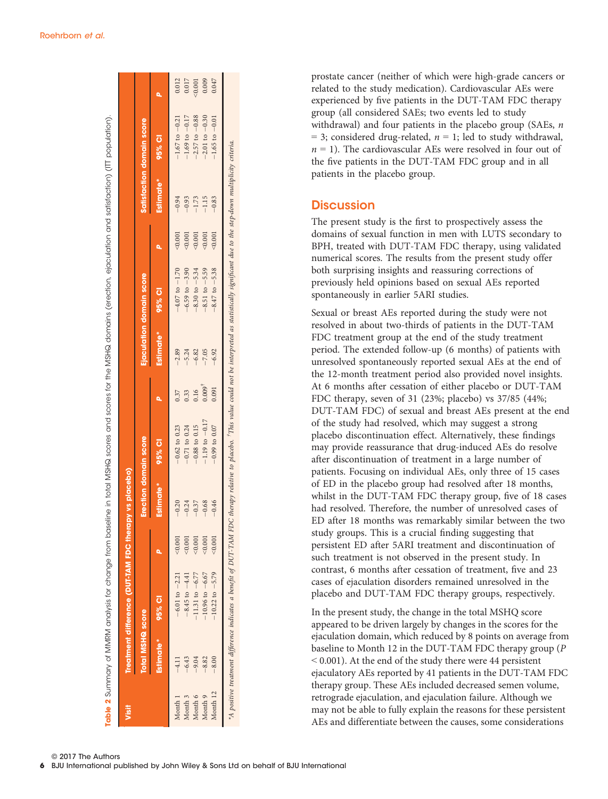| Visit    | <b>Total MSHQ score</b> | Treatment difference (DUT-TAM FDC therapy vs placebo)          |          | Erection domain score |                    |                   |           | Ejaculation domain score                                                                                                                                   |         |           | satisfaction domain score |        |
|----------|-------------------------|----------------------------------------------------------------|----------|-----------------------|--------------------|-------------------|-----------|------------------------------------------------------------------------------------------------------------------------------------------------------------|---------|-----------|---------------------------|--------|
|          | Estimate*               | $95%$ CI                                                       |          | Estimate*             | 95% CI             |                   | Estimate* | 95% CI                                                                                                                                                     |         | Estimate* | 95% CI                    |        |
| Month 1  | $-4.11$                 | $-6.01$ to $-2.21$                                             | 0.001    | $-0.20$               | $-0.62$ to 0.23    | 0.37              | $-2.89$   | $-4.07$ to $-1.70$                                                                                                                                         | 50.001  | $-0.94$   | $-1.67$ to $-0.21$        | 0.012  |
| Month 3  | $-6.43$                 | $-8.45$ to $-4.41$                                             | 0.001    | $-0.24$               | $-0.71$ to 0.24    | 0.33              | $-5.24$   | $-6.59$ to $-3.90$                                                                                                                                         | < 0.001 | $-0.93$   | $-1.69$ to $-0.17$        | 0.017  |
| Month 6  | $-9.04$                 | 11.31 to $-6.77$                                               | $-0.001$ | $-0.37$               | $-0.88$ to 0.15    | 0.16              | $-6.82$   | $-8.30$ to $-5.34$                                                                                                                                         | < 0.001 | $-1.73$   | $-2.57$ to $-0.88$        | 50.001 |
| Month 9  | $-8.82$                 | 10.96 to $-6.67$                                               | $-0.001$ | $-0.68$               | $-1.19$ to $-0.17$ | $0.009^{\dagger}$ | $-7.05$   | $-8.51$ to $-5.59$                                                                                                                                         | 50.001  | $-1.15$   | $-2.01$ to $-0.30$        | 0.009  |
| Month 12 | $-8.00$                 | $10.22$ to $-5.79$                                             | $-0.001$ | $-0.46$               | $-0.99$ to 0.07    | 0.091             | $-6.92$   | $-8.47$ to $-5.38$                                                                                                                                         | < 0.001 | $-0.83$   | $-1.65$ to $-0.01$        | 0.047  |
|          |                         | A positive treatment difference indicates a benefit of DUT-TAM |          |                       |                    |                   |           | FDC therapy relative to placebo. <sup>T</sup> This value could not be interpreted as statistically significant due to the step-down multiplicity criteria. |         |           |                           |        |

rable 2 Summary of MMRM analysis for change from baseline in total MSHQ scores and scores for the MSHQ domains (erection, ejaculation and satisfaction) (IIT population)

Summary of MMRM analysis for change from baseline in total MSHQ scores and scores for the MSHQ domains (erection, ejaculation and satisfaction) (ITT population).

prostate cancer (neither of which were high-grade cancers or related to the study medication). Cardiovascular AEs were experienced by five patients in the DUT-TAM FDC therapy group (all considered SAEs; two events led to study withdrawal) and four patients in the placebo group (SAEs,  $n$  $= 3$ ; considered drug-related,  $n = 1$ ; led to study withdrawal,  $n = 1$ ). The cardiovascular AEs were resolved in four out of the five patients in the DUT-TAM FDC group and in all patients in the placebo group.

## **Discussion**

The present study is the first to prospectively assess the domains of sexual function in men with LUTS secondary to BPH, treated with DUT-TAM FDC therapy, using validated numerical scores. The results from the present study offer both surprising insights and reassuring corrections of previously held opinions based on sexual AEs reported spontaneously in earlier 5ARI studies.

Sexual or breast AEs reported during the study were not resolved in about two-thirds of patients in the DUT-TAM FDC treatment group at the end of the study treatment period. The extended follow-up (6 months) of patients with unresolved spontaneously reported sexual AEs at the end of the 12-month treatment period also provided novel insights. At 6 months after cessation of either placebo or DUT-TAM FDC therapy, seven of 31 (23%; placebo) vs 37/85 (44%; DUT-TAM FDC) of sexual and breast AEs present at the end of the study had resolved, which may suggest a strong placebo discontinuation effect. Alternatively, these findings may provide reassurance that drug-induced AEs do resolve after discontinuation of treatment in a large number of patients. Focusing on individual AEs, only three of 15 cases of ED in the placebo group had resolved after 18 months, whilst in the DUT-TAM FDC therapy group, five of 18 cases had resolved. Therefore, the number of unresolved cases of ED after 18 months was remarkably similar between the two study groups. This is a crucial finding suggesting that persistent ED after 5ARI treatment and discontinuation of such treatment is not observed in the present study. In contrast, 6 months after cessation of treatment, five and 23 cases of ejaculation disorders remained unresolved in the placebo and DUT-TAM FDC therapy groups, respectively.

In the present study, the change in the total MSHQ score appeared to be driven largely by changes in the scores for the ejaculation domain, which reduced by 8 points on average from baseline to Month 12 in the DUT-TAM FDC therapy group (P < 0.001). At the end of the study there were 44 persistent ejaculatory AEs reported by 41 patients in the DUT-TAM FDC therapy group. These AEs included decreased semen volume, retrograde ejaculation, and ejaculation failure. Although we may not be able to fully explain the reasons for these persistent AEs and differentiate between the causes, some considerations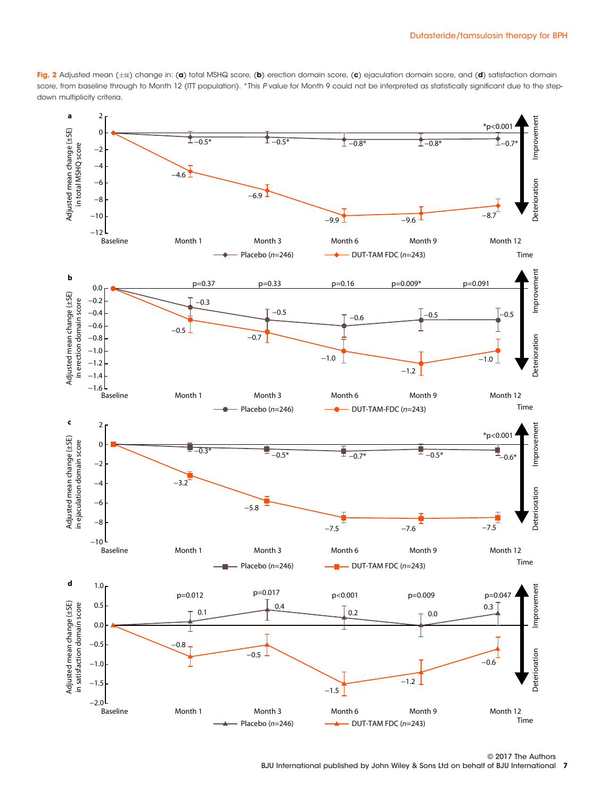Fig. 2 Adjusted mean (±sE) change in: (a) total MSHQ score, (b) erection domain score, (c) ejaculation domain score, and (d) satisfaction domain score, from baseline through to Month 12 (ITT population). \*This P value for Month 9 could not be interpreted as statistically significant due to the stepdown multiplicity criteria.



© 2017 The Authors BJU International published by John Wiley & Sons Ltd on behalf of BJU International 7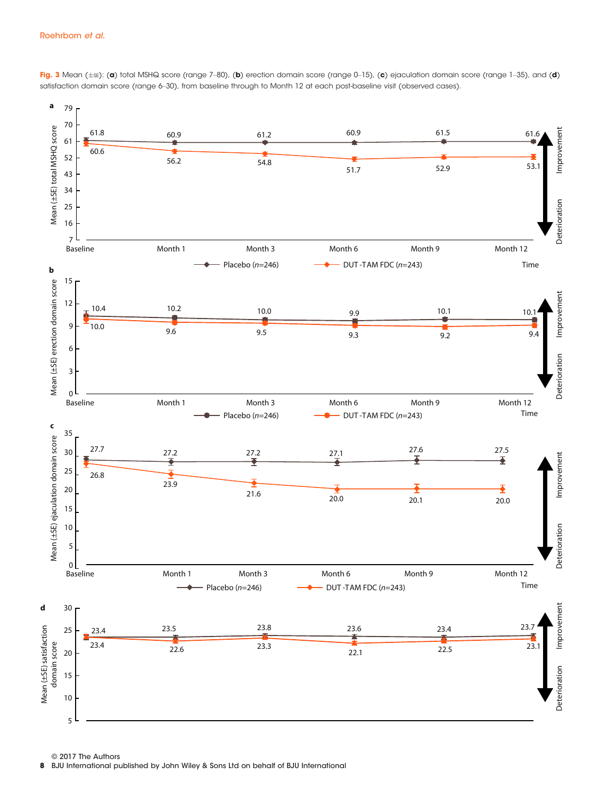

Fig. 3 Mean (±se): (a) total MSHQ score (range 7–80), (b) erection domain score (range 0–15), (c) ejaculation domain score (range 1–35), and (d) satisfaction domain score (range 6–30), from baseline through to Month 12 at each post-baseline visit (observed cases).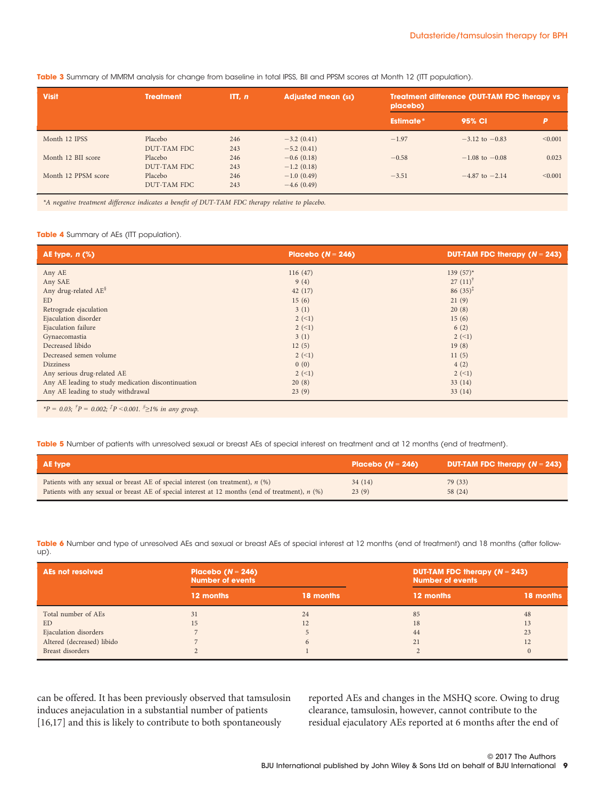| Table 3 Summary of MMRM analysis for change from baseline in total IPSS, BII and PPSM scores at Month 12 (ITT population). |  |
|----------------------------------------------------------------------------------------------------------------------------|--|
|----------------------------------------------------------------------------------------------------------------------------|--|

| <b>Visit</b>        | <b>Treatment</b>              | ITL n      | <b>Adjusted mean (SE)</b>    | Treatment difference (DUT-TAM FDC therapy vs<br>placebo) |                    |         |
|---------------------|-------------------------------|------------|------------------------------|----------------------------------------------------------|--------------------|---------|
|                     |                               |            |                              | <b>Estimate*</b>                                         | 95% CI             | P       |
| Month 12 IPSS       | Placebo<br>DUT-TAM FDC        | 246<br>243 | $-3.2(0.41)$<br>$-5.2(0.41)$ | $-1.97$                                                  | $-3.12$ to $-0.83$ | < 0.001 |
| Month 12 BII score  | Placebo<br>DUT-TAM FDC        | 246<br>243 | $-0.6(0.18)$<br>$-1.2(0.18)$ | $-0.58$                                                  | $-1.08$ to $-0.08$ | 0.023   |
| Month 12 PPSM score | Placebo<br><b>DUT-TAM FDC</b> | 246<br>243 | $-1.0(0.49)$<br>$-4.6(0.49)$ | $-3.51$                                                  | $-4.87$ to $-2.14$ | < 0.001 |

\*A negative treatment difference indicates a benefit of DUT-TAM FDC therapy relative to placebo.

#### Table 4 Summary of AEs (ITT population).

| AE type, $n$ (%)                                   | Placebo ( $N = 246$ ) | <b>DUT-TAM FDC therapy (<math>N = 243</math>)</b> |
|----------------------------------------------------|-----------------------|---------------------------------------------------|
| Any AE                                             | 116(47)               | 139 $(57)^*$                                      |
| Any SAE                                            | 9(4)                  | 27 $(11)^{\dagger}$                               |
| Any drug-related AE <sup>§</sup>                   | 42(17)                | $86(35)^{\ddagger}$                               |
| <b>ED</b>                                          | 15(6)                 | 21(9)                                             |
| Retrograde ejaculation                             | 3(1)                  | 20(8)                                             |
| Ejaculation disorder                               | $2 (-1)$              | 15(6)                                             |
| Ejaculation failure                                | $2 (-1)$              | 6(2)                                              |
| Gynaecomastia                                      | 3(1)                  | $2 (-1)$                                          |
| Decreased libido                                   | 12(5)                 | 19(8)                                             |
| Decreased semen volume                             | $2 (-1)$              | 11(5)                                             |
| <b>Dizziness</b>                                   | 0(0)                  | 4(2)                                              |
| Any serious drug-related AE                        | $2 (-1)$              | $2 (-1)$                                          |
| Any AE leading to study medication discontinuation | 20(8)                 | 33(14)                                            |
| Any AE leading to study withdrawal                 | 23(9)                 | 33(14)                                            |

\*P = 0.03;  ${}^{\dagger}P$  = 0.002;  ${}^{\dagger}P$  < 0.001.  ${}^{\S}\geq$ 1% in any group.

Table 5 Number of patients with unresolved sexual or breast AEs of special interest on treatment and at 12 months (end of treatment).

| <b>AE</b> type                                                                                     | Placebo ( $N = 246$ ) | <b>DUT-TAM FDC therapy (<math>N = 243</math>)</b> |
|----------------------------------------------------------------------------------------------------|-----------------------|---------------------------------------------------|
| Patients with any sexual or breast AE of special interest (on treatment), $n$ (%)                  | 34(14)                | 79 (33)                                           |
| Patients with any sexual or breast AE of special interest at 12 months (end of treatment), $n$ (%) | 23(9)                 | 58 (24)                                           |

Table 6 Number and type of unresolved AEs and sexual or breast AEs of special interest at 12 months (end of treatment) and 18 months (after followup).

| <b>AEs not resolved</b>    | Placebo ( $N = 246$ )<br>Number of events |           | <b>Number of events</b> | <b>DUT-TAM FDC therapy (<math>N = 243</math>)</b> |  |  |
|----------------------------|-------------------------------------------|-----------|-------------------------|---------------------------------------------------|--|--|
|                            | 12 months                                 | 18 months | 12 months               | 18 months                                         |  |  |
| Total number of AEs        | 31                                        | 24        | 85                      | 48                                                |  |  |
| ED                         | 15                                        | 12        | 18                      | 13                                                |  |  |
| Ejaculation disorders      |                                           |           | 44                      | 23                                                |  |  |
| Altered (decreased) libido |                                           |           | 21                      | 12                                                |  |  |
| Breast disorders           |                                           |           |                         |                                                   |  |  |

can be offered. It has been previously observed that tamsulosin induces anejaculation in a substantial number of patients [16,17] and this is likely to contribute to both spontaneously

reported AEs and changes in the MSHQ score. Owing to drug clearance, tamsulosin, however, cannot contribute to the residual ejaculatory AEs reported at 6 months after the end of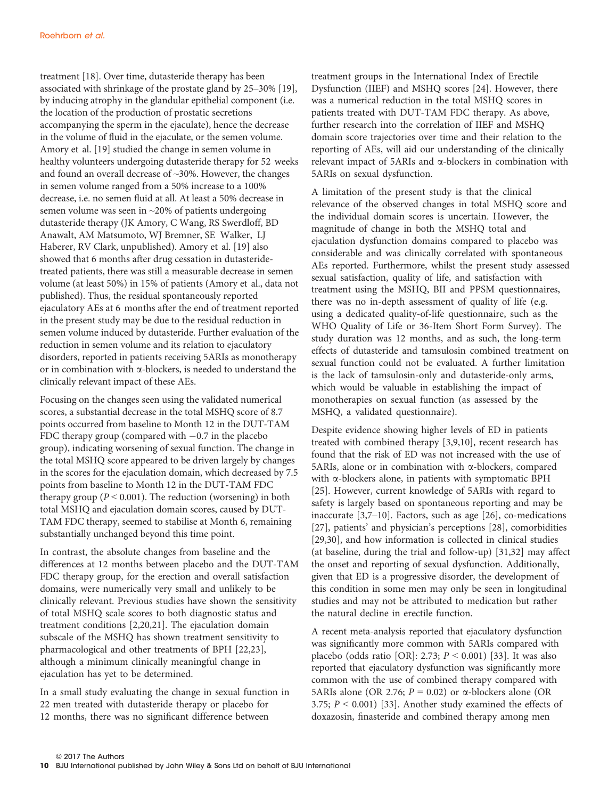treatment [18]. Over time, dutasteride therapy has been associated with shrinkage of the prostate gland by 25–30% [19], by inducing atrophy in the glandular epithelial component (i.e. the location of the production of prostatic secretions accompanying the sperm in the ejaculate), hence the decrease in the volume of fluid in the ejaculate, or the semen volume. Amory et al. [19] studied the change in semen volume in healthy volunteers undergoing dutasteride therapy for 52 weeks and found an overall decrease of ~30%. However, the changes in semen volume ranged from a 50% increase to a 100% decrease, i.e. no semen fluid at all. At least a 50% decrease in semen volume was seen in ~20% of patients undergoing dutasteride therapy (JK Amory, C Wang, RS Swerdloff, BD Anawalt, AM Matsumoto, WJ Bremner, SE Walker, LJ Haberer, RV Clark, unpublished). Amory et al. [19] also showed that 6 months after drug cessation in dutasteridetreated patients, there was still a measurable decrease in semen volume (at least 50%) in 15% of patients (Amory et al., data not published). Thus, the residual spontaneously reported ejaculatory AEs at 6 months after the end of treatment reported in the present study may be due to the residual reduction in semen volume induced by dutasteride. Further evaluation of the reduction in semen volume and its relation to ejaculatory disorders, reported in patients receiving 5ARIs as monotherapy or in combination with a-blockers, is needed to understand the clinically relevant impact of these AEs.

Focusing on the changes seen using the validated numerical scores, a substantial decrease in the total MSHQ score of 8.7 points occurred from baseline to Month 12 in the DUT-TAM FDC therapy group (compared with  $-0.7$  in the placebo group), indicating worsening of sexual function. The change in the total MSHQ score appeared to be driven largely by changes in the scores for the ejaculation domain, which decreased by 7.5 points from baseline to Month 12 in the DUT-TAM FDC therapy group ( $P < 0.001$ ). The reduction (worsening) in both total MSHQ and ejaculation domain scores, caused by DUT-TAM FDC therapy, seemed to stabilise at Month 6, remaining substantially unchanged beyond this time point.

In contrast, the absolute changes from baseline and the differences at 12 months between placebo and the DUT-TAM FDC therapy group, for the erection and overall satisfaction domains, were numerically very small and unlikely to be clinically relevant. Previous studies have shown the sensitivity of total MSHQ scale scores to both diagnostic status and treatment conditions [2,20,21]. The ejaculation domain subscale of the MSHQ has shown treatment sensitivity to pharmacological and other treatments of BPH [22,23], although a minimum clinically meaningful change in ejaculation has yet to be determined.

In a small study evaluating the change in sexual function in 22 men treated with dutasteride therapy or placebo for 12 months, there was no significant difference between

treatment groups in the International Index of Erectile Dysfunction (IIEF) and MSHQ scores [24]. However, there was a numerical reduction in the total MSHQ scores in patients treated with DUT-TAM FDC therapy. As above, further research into the correlation of IIEF and MSHQ domain score trajectories over time and their relation to the reporting of AEs, will aid our understanding of the clinically relevant impact of 5ARIs and a-blockers in combination with 5ARIs on sexual dysfunction.

A limitation of the present study is that the clinical relevance of the observed changes in total MSHQ score and the individual domain scores is uncertain. However, the magnitude of change in both the MSHQ total and ejaculation dysfunction domains compared to placebo was considerable and was clinically correlated with spontaneous AEs reported. Furthermore, whilst the present study assessed sexual satisfaction, quality of life, and satisfaction with treatment using the MSHQ, BII and PPSM questionnaires, there was no in-depth assessment of quality of life (e.g. using a dedicated quality-of-life questionnaire, such as the WHO Quality of Life or 36-Item Short Form Survey). The study duration was 12 months, and as such, the long-term effects of dutasteride and tamsulosin combined treatment on sexual function could not be evaluated. A further limitation is the lack of tamsulosin-only and dutasteride-only arms, which would be valuable in establishing the impact of monotherapies on sexual function (as assessed by the MSHQ, a validated questionnaire).

Despite evidence showing higher levels of ED in patients treated with combined therapy [3,9,10], recent research has found that the risk of ED was not increased with the use of 5ARIs, alone or in combination with  $\alpha$ -blockers, compared with a-blockers alone, in patients with symptomatic BPH [25]. However, current knowledge of 5ARIs with regard to safety is largely based on spontaneous reporting and may be inaccurate [3,7–10]. Factors, such as age [26], co-medications [27], patients' and physician's perceptions [28], comorbidities [29,30], and how information is collected in clinical studies (at baseline, during the trial and follow-up) [31,32] may affect the onset and reporting of sexual dysfunction. Additionally, given that ED is a progressive disorder, the development of this condition in some men may only be seen in longitudinal studies and may not be attributed to medication but rather the natural decline in erectile function.

A recent meta-analysis reported that ejaculatory dysfunction was significantly more common with 5ARIs compared with placebo (odds ratio [OR]: 2.73;  $P < 0.001$ ) [33]. It was also reported that ejaculatory dysfunction was significantly more common with the use of combined therapy compared with 5ARIs alone (OR 2.76;  $P = 0.02$ ) or  $\alpha$ -blockers alone (OR 3.75;  $P < 0.001$ ) [33]. Another study examined the effects of doxazosin, finasteride and combined therapy among men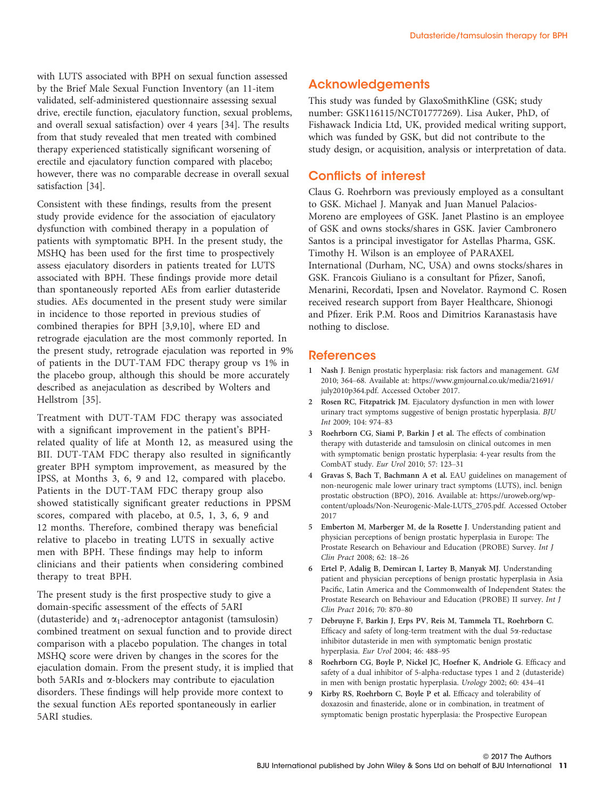with LUTS associated with BPH on sexual function assessed by the Brief Male Sexual Function Inventory (an 11-item validated, self-administered questionnaire assessing sexual drive, erectile function, ejaculatory function, sexual problems, and overall sexual satisfaction) over 4 years [34]. The results from that study revealed that men treated with combined therapy experienced statistically significant worsening of erectile and ejaculatory function compared with placebo; however, there was no comparable decrease in overall sexual satisfaction [34].

Consistent with these findings, results from the present study provide evidence for the association of ejaculatory dysfunction with combined therapy in a population of patients with symptomatic BPH. In the present study, the MSHQ has been used for the first time to prospectively assess ejaculatory disorders in patients treated for LUTS associated with BPH. These findings provide more detail than spontaneously reported AEs from earlier dutasteride studies. AEs documented in the present study were similar in incidence to those reported in previous studies of combined therapies for BPH [3,9,10], where ED and retrograde ejaculation are the most commonly reported. In the present study, retrograde ejaculation was reported in 9% of patients in the DUT-TAM FDC therapy group vs 1% in the placebo group, although this should be more accurately described as anejaculation as described by Wolters and Hellstrom [35].

Treatment with DUT-TAM FDC therapy was associated with a significant improvement in the patient's BPHrelated quality of life at Month 12, as measured using the BII. DUT-TAM FDC therapy also resulted in significantly greater BPH symptom improvement, as measured by the IPSS, at Months 3, 6, 9 and 12, compared with placebo. Patients in the DUT-TAM FDC therapy group also showed statistically significant greater reductions in PPSM scores, compared with placebo, at 0.5, 1, 3, 6, 9 and 12 months. Therefore, combined therapy was beneficial relative to placebo in treating LUTS in sexually active men with BPH. These findings may help to inform clinicians and their patients when considering combined therapy to treat BPH.

The present study is the first prospective study to give a domain-specific assessment of the effects of 5ARI (dutasteride) and  $\alpha_1$ -adrenoceptor antagonist (tamsulosin) combined treatment on sexual function and to provide direct comparison with a placebo population. The changes in total MSHQ score were driven by changes in the scores for the ejaculation domain. From the present study, it is implied that both 5ARIs and  $\alpha$ -blockers may contribute to ejaculation disorders. These findings will help provide more context to the sexual function AEs reported spontaneously in earlier 5ARI studies.

# **Acknowledgements**

This study was funded by GlaxoSmithKline (GSK; study number: GSK116115/NCT01777269). Lisa Auker, PhD, of Fishawack Indicia Ltd, UK, provided medical writing support, which was funded by GSK, but did not contribute to the study design, or acquisition, analysis or interpretation of data.

#### Conflicts of interest

Claus G. Roehrborn was previously employed as a consultant to GSK. Michael J. Manyak and Juan Manuel Palacios-Moreno are employees of GSK. Janet Plastino is an employee of GSK and owns stocks/shares in GSK. Javier Cambronero Santos is a principal investigator for Astellas Pharma, GSK. Timothy H. Wilson is an employee of PARAXEL International (Durham, NC, USA) and owns stocks/shares in GSK. Francois Giuliano is a consultant for Pfizer, Sanofi, Menarini, Recordati, Ipsen and Novelator. Raymond C. Rosen received research support from Bayer Healthcare, Shionogi and Pfizer. Erik P.M. Roos and Dimitrios Karanastasis have nothing to disclose.

#### **References**

- 1 Nash J. Benign prostatic hyperplasia: risk factors and management. GM 2010; 364–68. Available at: [https://www.gmjournal.co.uk/media/21691/](https://www.gmjournal.co.uk/media/21691/july2010p364.pdf) [july2010p364.pdf](https://www.gmjournal.co.uk/media/21691/july2010p364.pdf). Accessed October 2017.
- 2 Rosen RC, Fitzpatrick JM. Ejaculatory dysfunction in men with lower urinary tract symptoms suggestive of benign prostatic hyperplasia. BJU Int 2009; 104: 974–83
- 3 Roehrborn CG, Siami P, Barkin J et al. The effects of combination therapy with dutasteride and tamsulosin on clinical outcomes in men with symptomatic benign prostatic hyperplasia: 4-year results from the CombAT study. Eur Urol 2010; 57: 123–31
- 4 Gravas S, Bach T, Bachmann A et al. EAU guidelines on management of non-neurogenic male lower urinary tract symptoms (LUTS), incl. benign prostatic obstruction (BPO), 2016. Available at: [https://uroweb.org/wp](https://uroweb.org/wp-content/uploads/Non-Neurogenic-Male-LUTS_2705.pdf)[content/uploads/Non-Neurogenic-Male-LUTS\\_2705.pdf.](https://uroweb.org/wp-content/uploads/Non-Neurogenic-Male-LUTS_2705.pdf) Accessed October 2017
- 5 Emberton M, Marberger M, de la Rosette J. Understanding patient and physician perceptions of benign prostatic hyperplasia in Europe: The Prostate Research on Behaviour and Education (PROBE) Survey. Int J Clin Pract 2008; 62: 18–26
- 6 Ertel P, Adalig B, Demircan I, Lartey B, Manyak MJ. Understanding patient and physician perceptions of benign prostatic hyperplasia in Asia Pacific, Latin America and the Commonwealth of Independent States: the Prostate Research on Behaviour and Education (PROBE) II survey. Int J Clin Pract 2016; 70: 870–80
- 7 Debruyne F, Barkin J, Erps PV, Reis M, Tammela TL, Roehrborn C. Efficacy and safety of long-term treatment with the dual 5a-reductase inhibitor dutasteride in men with symptomatic benign prostatic hyperplasia. Eur Urol 2004; 46: 488–95
- 8 Roehrborn CG, Boyle P, Nickel JC, Hoefner K, Andriole G. Efficacy and safety of a dual inhibitor of 5-alpha-reductase types 1 and 2 (dutasteride) in men with benign prostatic hyperplasia. Urology 2002; 60: 434–41
- 9 Kirby RS, Roehrborn C, Boyle P et al. Efficacy and tolerability of doxazosin and finasteride, alone or in combination, in treatment of symptomatic benign prostatic hyperplasia: the Prospective European